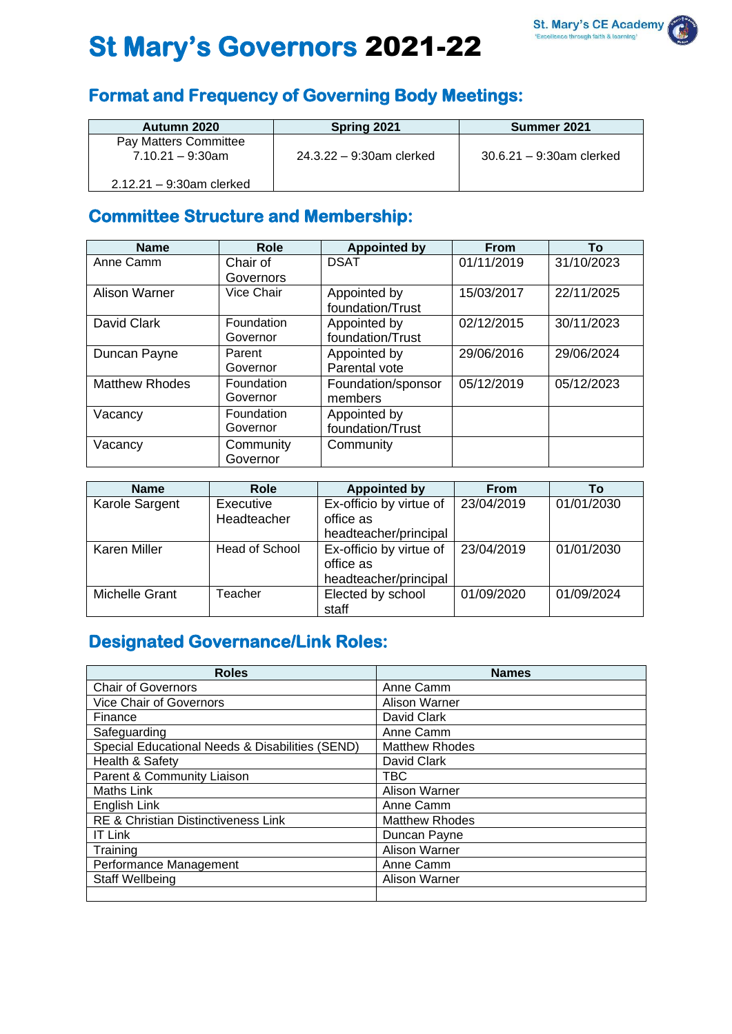

# **St Mary's Governors** 2021-22

## **Format and Frequency of Governing Body Meetings:**

| Autumn 2020                 | Spring 2021                 | Summer 2021                 |  |
|-----------------------------|-----------------------------|-----------------------------|--|
| Pay Matters Committee       |                             |                             |  |
| $7.10.21 - 9.30$ am         | $24.3.22 - 9.30$ am clerked | $30.6.21 - 9:30$ am clerked |  |
|                             |                             |                             |  |
| $2.12.21 - 9:30$ am clerked |                             |                             |  |

## **Committee Structure and Membership:**

| <b>Name</b>           | <b>Role</b> | <b>Appointed by</b> | <b>From</b> | To         |
|-----------------------|-------------|---------------------|-------------|------------|
| Anne Camm             | Chair of    | <b>DSAT</b>         | 01/11/2019  | 31/10/2023 |
|                       | Governors   |                     |             |            |
| <b>Alison Warner</b>  | Vice Chair  | Appointed by        | 15/03/2017  | 22/11/2025 |
|                       |             | foundation/Trust    |             |            |
| David Clark           | Foundation  | Appointed by        | 02/12/2015  | 30/11/2023 |
|                       | Governor    | foundation/Trust    |             |            |
| Duncan Payne          | Parent      | Appointed by        | 29/06/2016  | 29/06/2024 |
|                       | Governor    | Parental vote       |             |            |
| <b>Matthew Rhodes</b> | Foundation  | Foundation/sponsor  | 05/12/2019  | 05/12/2023 |
|                       | Governor    | members             |             |            |
| Vacancy               | Foundation  | Appointed by        |             |            |
|                       | Governor    | foundation/Trust    |             |            |
| Vacancy               | Community   | Community           |             |            |
|                       | Governor    |                     |             |            |

| <b>Name</b>         | <b>Role</b>              | <b>Appointed by</b>                                           | <b>From</b> | Τo         |
|---------------------|--------------------------|---------------------------------------------------------------|-------------|------------|
| Karole Sargent      | Executive<br>Headteacher | Ex-officio by virtue of<br>office as                          | 23/04/2019  | 01/01/2030 |
|                     |                          | headteacher/principal                                         |             |            |
| <b>Karen Miller</b> | Head of School           | Ex-officio by virtue of<br>office as<br>headteacher/principal | 23/04/2019  | 01/01/2030 |
| Michelle Grant      | Teacher                  | Elected by school<br>staff                                    | 01/09/2020  | 01/09/2024 |

## **Designated Governance/Link Roles:**

| <b>Roles</b>                                    | <b>Names</b>          |
|-------------------------------------------------|-----------------------|
| Chair of Governors                              | Anne Camm             |
| <b>Vice Chair of Governors</b>                  | <b>Alison Warner</b>  |
| Finance                                         | David Clark           |
| Safeguarding                                    | Anne Camm             |
| Special Educational Needs & Disabilities (SEND) | <b>Matthew Rhodes</b> |
| Health & Safety                                 | David Clark           |
| Parent & Community Liaison                      | TBC                   |
| <b>Maths Link</b>                               | <b>Alison Warner</b>  |
| English Link                                    | Anne Camm             |
| <b>RE &amp; Christian Distinctiveness Link</b>  | <b>Matthew Rhodes</b> |
| <b>IT Link</b>                                  | Duncan Payne          |
| Training                                        | <b>Alison Warner</b>  |
| Performance Management                          | Anne Camm             |
| Staff Wellbeing                                 | Alison Warner         |
|                                                 |                       |